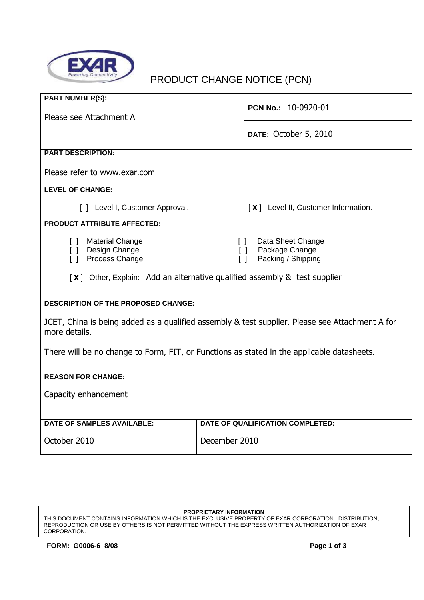

# PRODUCT CHANGE NOTICE (PCN)

| <b>PART NUMBER(S):</b>                                                                                                                                                                                                                             | PCN No.: 10-0920-01                 |  |  |  |  |  |
|----------------------------------------------------------------------------------------------------------------------------------------------------------------------------------------------------------------------------------------------------|-------------------------------------|--|--|--|--|--|
| Please see Attachment A                                                                                                                                                                                                                            |                                     |  |  |  |  |  |
|                                                                                                                                                                                                                                                    | DATE: October 5, 2010               |  |  |  |  |  |
| <b>PART DESCRIPTION:</b>                                                                                                                                                                                                                           |                                     |  |  |  |  |  |
| Please refer to www.exar.com                                                                                                                                                                                                                       |                                     |  |  |  |  |  |
| <b>LEVEL OF CHANGE:</b>                                                                                                                                                                                                                            |                                     |  |  |  |  |  |
| [ ] Level I, Customer Approval.                                                                                                                                                                                                                    | [X] Level II, Customer Information. |  |  |  |  |  |
| <b>PRODUCT ATTRIBUTE AFFECTED:</b>                                                                                                                                                                                                                 |                                     |  |  |  |  |  |
| Data Sheet Change<br>Material Change<br>$\Box$<br>$\Box$<br>[ ] Design Change<br>Package Change<br>$\Box$<br>Process Change<br>$\Box$<br>Packing / Shipping<br>$\Box$<br>[X] Other, Explain: Add an alternative qualified assembly & test supplier |                                     |  |  |  |  |  |
|                                                                                                                                                                                                                                                    |                                     |  |  |  |  |  |
| <b>DESCRIPTION OF THE PROPOSED CHANGE:</b>                                                                                                                                                                                                         |                                     |  |  |  |  |  |
| JCET, China is being added as a qualified assembly & test supplier. Please see Attachment A for<br>more details.                                                                                                                                   |                                     |  |  |  |  |  |
| There will be no change to Form, FIT, or Functions as stated in the applicable datasheets.                                                                                                                                                         |                                     |  |  |  |  |  |
| <b>REASON FOR CHANGE:</b>                                                                                                                                                                                                                          |                                     |  |  |  |  |  |
| Capacity enhancement                                                                                                                                                                                                                               |                                     |  |  |  |  |  |
| <b>DATE OF SAMPLES AVAILABLE:</b>                                                                                                                                                                                                                  | DATE OF QUALIFICATION COMPLETED:    |  |  |  |  |  |
| October 2010                                                                                                                                                                                                                                       | December 2010                       |  |  |  |  |  |

#### **PROPRIETARY INFORMATION**

THIS DOCUMENT CONTAINS INFORMATION WHICH IS THE EXCLUSIVE PROPERTY OF EXAR CORPORATION. DISTRIBUTION, REPRODUCTION OR USE BY OTHERS IS NOT PERMITTED WITHOUT THE EXPRESS WRITTEN AUTHORIZATION OF EXAR CORPORATION.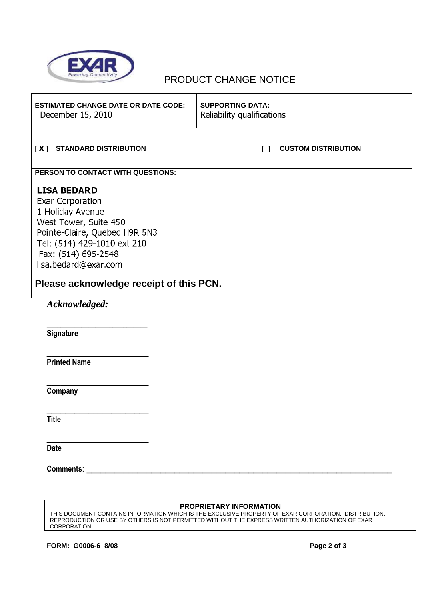

### PRODUCT CHANGE NOTICE

| <b>ESTIMATED CHANGE DATE OR DATE CODE:</b><br>December 15, 2010                                                                                                                                    | <b>SUPPORTING DATA:</b><br>Reliability qualifications |                            |  |  |  |
|----------------------------------------------------------------------------------------------------------------------------------------------------------------------------------------------------|-------------------------------------------------------|----------------------------|--|--|--|
|                                                                                                                                                                                                    |                                                       |                            |  |  |  |
| <b>STANDARD DISTRIBUTION</b><br>$\sqrt{1}$                                                                                                                                                         |                                                       | <b>CUSTOM DISTRIBUTION</b> |  |  |  |
| PERSON TO CONTACT WITH QUESTIONS:                                                                                                                                                                  |                                                       |                            |  |  |  |
| <b>LISA BEDARD</b><br>Exar Corporation<br>1 Holiday Avenue<br>West Tower, Suite 450<br>Pointe-Claire, Quebec H9R 5N3<br>Tel: (514) 429-1010 ext 210<br>Fax: (514) 695-2548<br>lisa.bedard@exar.com |                                                       |                            |  |  |  |
| Please acknowledge receipt of this PCN.                                                                                                                                                            |                                                       |                            |  |  |  |
| Acknowledged:                                                                                                                                                                                      |                                                       |                            |  |  |  |

\_\_\_\_\_\_\_\_\_\_\_\_\_\_\_\_\_\_\_\_\_\_\_\_\_\_\_\_\_

**Signature** 

**Printed Name** 

\_\_\_\_\_\_\_\_\_\_\_\_\_\_\_\_\_\_\_\_\_\_

\_\_\_\_\_\_\_\_\_\_\_\_\_\_\_\_\_\_\_\_\_\_

\_\_\_\_\_\_\_\_\_\_\_\_\_\_\_\_\_\_\_\_\_\_

\_\_\_\_\_\_\_\_\_\_\_\_\_\_\_\_\_\_\_\_\_\_

**Company** 

**Title** 

**Date** 

**Comments**: \_\_\_\_\_\_\_\_\_\_\_\_\_\_\_\_\_\_\_\_\_\_\_\_\_\_\_\_\_\_\_\_\_\_\_\_\_\_\_\_\_\_\_\_\_\_\_\_\_\_\_\_\_\_\_\_\_\_\_\_\_\_\_\_\_\_

### **PROPRIETARY INFORMATION**

THIS DOCUMENT CONTAINS INFORMATION WHICH IS THE EXCLUSIVE PROPERTY OF EXAR CORPORATION. DISTRIBUTION, REPRODUCTION OR USE BY OTHERS IS NOT PERMITTED WITHOUT THE EXPRESS WRITTEN AUTHORIZATION OF EXAR CORPORATION.